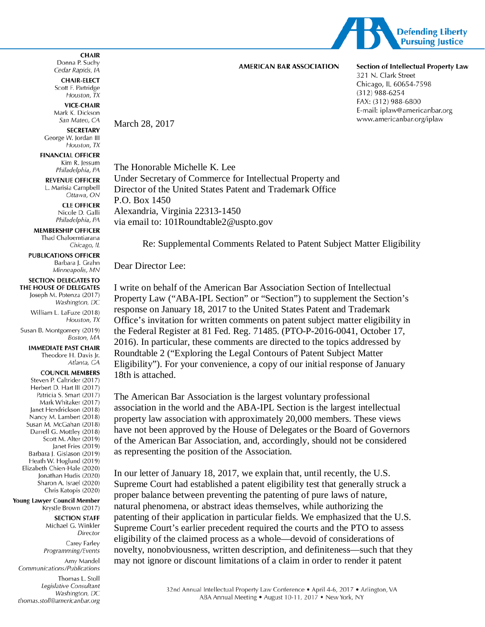

### **AMERICAN BAR ASSOCIATION**

Section of Intellectual Property Law 321 N. Clark Street Chicago, IL 60654-7598  $(312)$  988-6254 FAX: (312) 988-6800 E-mail: iplaw@americanbar.org www.americanbar.org/iplaw

**CHAIR-ELECT** Scott F. Partridge Houston, TX

**CHAIR** Donna P. Suchy

**VICE-CHAIR** Mark K. Dickson San Mateo, CA

Cedar Rapids, IA

**SECRETARY** George W. Jordan III Houston, TX

**FINANCIAL OFFICER** Kim R. Jessum Philadelphia, PA

**REVENUE OFFICER** L. Marisia Campbell Ottawa, ON

> **CLE OFFICER** Nicole D. Galli Philadelphia, PA

**MEMBERSHIP OFFICER** Thad Chaloemtiarana Chicago, IL

**PUBLICATIONS OFFICER** Barbara J. Grahn Minneapolis, MN

### **SECTION DELEGATES TO**

THE HOUSE OF DELEGATES Joseph M. Potenza (2017) Washington, DC

William L. LaFuze (2018) Houston, TX

Susan B. Montgomery (2019) Boston, MA

> **IMMEDIATE PAST CHAIR** Theodore H. Davis Jr. Atlanta, GA

#### **COUNCIL MEMBERS**

Steven P. Caltrider (2017) Herbert D. Hart III (2017) Patricia S. Smart (2017) Mark Whitaker (2017) Janet Hendrickson (2018) Nancy M. Lambert (2018) Susan M. McGahan (2018) Darrell G. Mottley (2018) Scott M. Alter (2019) Janet Fries (2019) Barbara J. Gislason (2019) Heath W. Hoglund (2019) Elizabeth Chien-Hale (2020) Jonathan Hudis (2020) Sharon A. Israel (2020) Chris Katopis (2020)

Young Lawyer Council Member Krystle Brown (2017)

**SECTION STAFF** 

Michael G. Winkler Director

Carey Farley Programming/Events

Amy Mandel Communications/Publications Thomas L. Stoll

Legislative Consultant Washington, DC thomas.stoll@americanbar.org

# March 28, 2017

The Honorable Michelle K. Lee Under Secretary of Commerce for Intellectual Property and Director of the United States Patent and Trademark Office P.O. Box 1450 Alexandria, Virginia 22313-1450 via email to: 101Roundtable2@uspto.gov

Re: Supplemental Comments Related to Patent Subject Matter Eligibility

Dear Director Lee:

I write on behalf of the American Bar Association Section of Intellectual Property Law ("ABA-IPL Section" or "Section") to supplement the Section's response on January 18, 2017 to the United States Patent and Trademark Office's invitation for written comments on patent subject matter eligibility in the Federal Register at 81 Fed. Reg. 71485. (PTO-P-2016-0041, October 17, 2016). In particular, these comments are directed to the topics addressed by Roundtable 2 ("Exploring the Legal Contours of Patent Subject Matter Eligibility"). For your convenience, a copy of our initial response of January 18th is attached.

The American Bar Association is the largest voluntary professional association in the world and the ABA-IPL Section is the largest intellectual property law association with approximately 20,000 members. These views have not been approved by the House of Delegates or the Board of Governors of the American Bar Association, and, accordingly, should not be considered as representing the position of the Association.

In our letter of January 18, 2017, we explain that, until recently, the U.S. Supreme Court had established a patent eligibility test that generally struck a proper balance between preventing the patenting of pure laws of nature, natural phenomena, or abstract ideas themselves, while authorizing the patenting of their application in particular fields. We emphasized that the U.S. Supreme Court's earlier precedent required the courts and the PTO to assess eligibility of the claimed process as a whole—devoid of considerations of novelty, nonobviousness, written description, and definiteness—such that they may not ignore or discount limitations of a claim in order to render it patent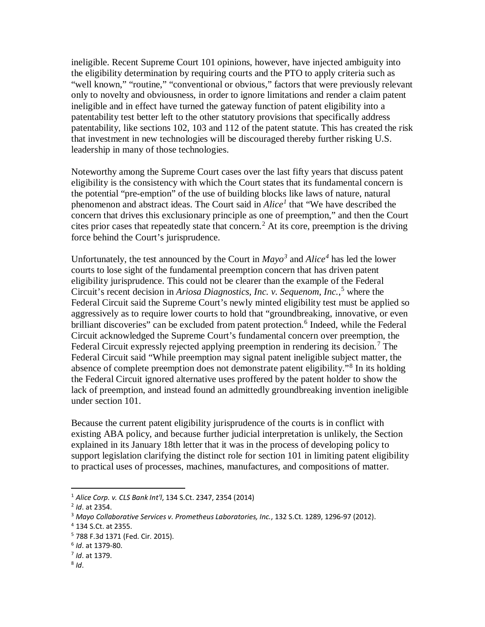ineligible. Recent Supreme Court 101 opinions, however, have injected ambiguity into the eligibility determination by requiring courts and the PTO to apply criteria such as "well known," "routine," "conventional or obvious," factors that were previously relevant only to novelty and obviousness, in order to ignore limitations and render a claim patent ineligible and in effect have turned the gateway function of patent eligibility into a patentability test better left to the other statutory provisions that specifically address patentability, like sections 102, 103 and 112 of the patent statute. This has created the risk that investment in new technologies will be discouraged thereby further risking U.S. leadership in many of those technologies.

Noteworthy among the Supreme Court cases over the last fifty years that discuss patent eligibility is the consistency with which the Court states that its fundamental concern is the potential "pre-emption" of the use of building blocks like laws of nature, natural phenomenon and abstract ideas. The Court said in *Alice[1](#page-1-0)* that "We have described the concern that drives this exclusionary principle as one of preemption," and then the Court cites prior cases that repeatedly state that concern.<sup>[2](#page-1-1)</sup> At its core, preemption is the driving force behind the Court's jurisprudence.

Unfortunately, the test announced by the Court in  $Mavo<sup>3</sup>$  $Mavo<sup>3</sup>$  $Mavo<sup>3</sup>$  and  $Alice<sup>4</sup>$  $Alice<sup>4</sup>$  $Alice<sup>4</sup>$  has led the lower courts to lose sight of the fundamental preemption concern that has driven patent eligibility jurisprudence. This could not be clearer than the example of the Federal Circuit's recent decision in *Ariosa Diagnostics, Inc. v. Sequenom, Inc.*, [5](#page-1-4) where the Federal Circuit said the Supreme Court's newly minted eligibility test must be applied so aggressively as to require lower courts to hold that "groundbreaking, innovative, or even brilliant discoveries" can be excluded from patent protection.<sup>[6](#page-1-5)</sup> Indeed, while the Federal Circuit acknowledged the Supreme Court's fundamental concern over preemption, the Federal Circuit expressly rejected applying preemption in rendering its decision.<sup>[7](#page-1-6)</sup> The Federal Circuit said "While preemption may signal patent ineligible subject matter, the absence of complete preemption does not demonstrate patent eligibility."[8](#page-1-7) In its holding the Federal Circuit ignored alternative uses proffered by the patent holder to show the lack of preemption, and instead found an admittedly groundbreaking invention ineligible under section 101.

Because the current patent eligibility jurisprudence of the courts is in conflict with existing ABA policy, and because further judicial interpretation is unlikely, the Section explained in its January 18th letter that it was in the process of developing policy to support legislation clarifying the distinct role for section 101 in limiting patent eligibility to practical uses of processes, machines, manufactures, and compositions of matter.

 $\overline{a}$ 

<span id="page-1-0"></span><sup>1</sup> *Alice Corp. v. CLS Bank Int'l*, 134 S.Ct. 2347, 2354 (2014)

<span id="page-1-1"></span><sup>2</sup> *Id*. at 2354.

<span id="page-1-2"></span><sup>&</sup>lt;sup>3</sup> Mayo Collaborative Services v. Prometheus Laboratories, Inc., 132 S.Ct. 1289, 1296-97 (2012).<br><sup>4</sup> 134 S.Ct. at 2355.

<span id="page-1-4"></span><span id="page-1-3"></span><sup>5</sup> 788 F.3d 1371 (Fed. Cir. 2015).

<span id="page-1-5"></span><sup>6</sup> *Id*. at 1379-80.

<span id="page-1-6"></span><sup>7</sup> *Id*. at 1379.

<span id="page-1-7"></span><sup>8</sup> *Id*.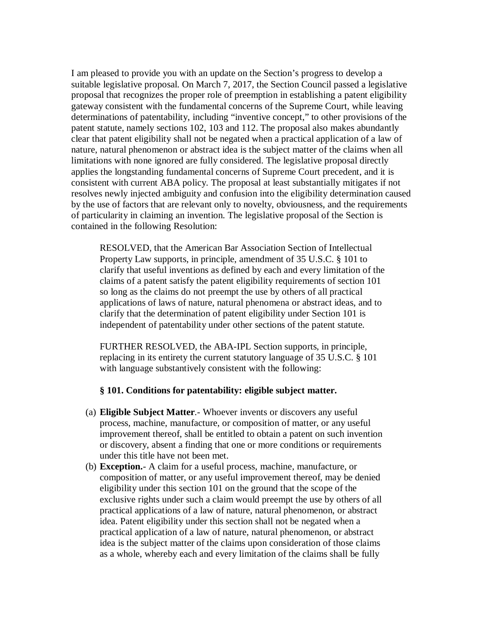I am pleased to provide you with an update on the Section's progress to develop a suitable legislative proposal. On March 7, 2017, the Section Council passed a legislative proposal that recognizes the proper role of preemption in establishing a patent eligibility gateway consistent with the fundamental concerns of the Supreme Court, while leaving determinations of patentability, including "inventive concept," to other provisions of the patent statute, namely sections 102, 103 and 112. The proposal also makes abundantly clear that patent eligibility shall not be negated when a practical application of a law of nature, natural phenomenon or abstract idea is the subject matter of the claims when all limitations with none ignored are fully considered. The legislative proposal directly applies the longstanding fundamental concerns of Supreme Court precedent, and it is consistent with current ABA policy. The proposal at least substantially mitigates if not resolves newly injected ambiguity and confusion into the eligibility determination caused by the use of factors that are relevant only to novelty, obviousness, and the requirements of particularity in claiming an invention. The legislative proposal of the Section is contained in the following Resolution:

RESOLVED, that the American Bar Association Section of Intellectual Property Law supports, in principle, amendment of 35 U.S.C. § 101 to clarify that useful inventions as defined by each and every limitation of the claims of a patent satisfy the patent eligibility requirements of section 101 so long as the claims do not preempt the use by others of all practical applications of laws of nature, natural phenomena or abstract ideas, and to clarify that the determination of patent eligibility under Section 101 is independent of patentability under other sections of the patent statute.

FURTHER RESOLVED, the ABA-IPL Section supports, in principle, replacing in its entirety the current statutory language of 35 U.S.C. § 101 with language substantively consistent with the following:

### **§ 101. Conditions for patentability: eligible subject matter.**

- (a) **Eligible Subject Matter**.- Whoever invents or discovers any useful process, machine, manufacture, or composition of matter, or any useful improvement thereof, shall be entitled to obtain a patent on such invention or discovery, absent a finding that one or more conditions or requirements under this title have not been met.
- (b) **Exception.** A claim for a useful process, machine, manufacture, or composition of matter, or any useful improvement thereof, may be denied eligibility under this section 101 on the ground that the scope of the exclusive rights under such a claim would preempt the use by others of all practical applications of a law of nature, natural phenomenon, or abstract idea. Patent eligibility under this section shall not be negated when a practical application of a law of nature, natural phenomenon, or abstract idea is the subject matter of the claims upon consideration of those claims as a whole, whereby each and every limitation of the claims shall be fully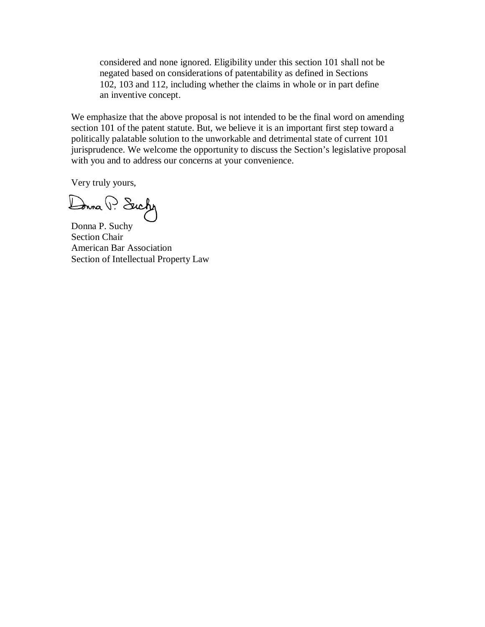considered and none ignored. Eligibility under this section 101 shall not be negated based on considerations of patentability as defined in Sections 102, 103 and 112, including whether the claims in whole or in part define an inventive concept.

We emphasize that the above proposal is not intended to be the final word on amending section 101 of the patent statute. But, we believe it is an important first step toward a politically palatable solution to the unworkable and detrimental state of current 101 jurisprudence. We welcome the opportunity to discuss the Section's legislative proposal with you and to address our concerns at your convenience.

Very truly yours,

Dona P. Suchy

Donna P. Suchy Section Chair American Bar Association Section of Intellectual Property Law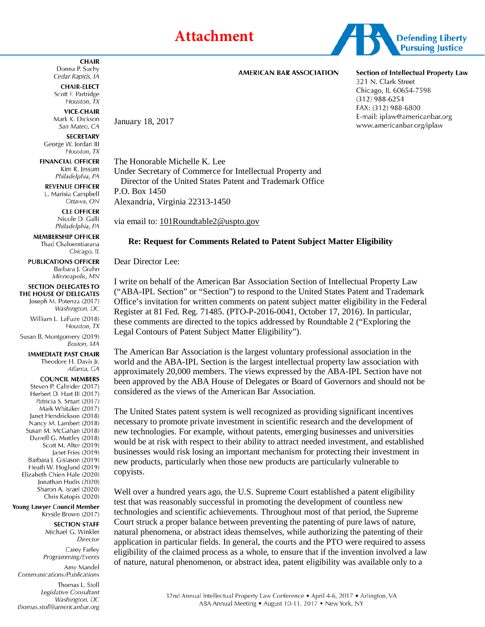# **Attachment**



### **AMERICAN BAR ASSOCIATION**

## Section of Intellectual Property Law

321 N. Clark Street Chicago, IL 60654-7598  $(312)$  988-6254 FAX: (312) 988-6800 E-mail: iplaw@americanbar.org www.americanbar.org/iplaw

**CHAIR** Donna P. Suchy Cedar Rapids, IA

**CHAIR-ELECT** Scott F. Partridge Houston, TX

**VICE-CHAIR** Mark K. Dickson San Mateo, CA

**SECRETARY** George W. Jordan III Houston, TX

**FINANCIAL OFFICER** Kim R. Jessum Philadelphia, PA

**REVENUE OFFICER** L. Marisia Campbell Ottawa, ON

> **CLE OFFICER** Nicole D. Galli

Philadelphia, PA

**MEMBERSHIP OFFICER** Thad Chaloemtiarana Chicago, IL

**PUBLICATIONS OFFICER** Barbara J. Grahn Minneapolis, MN

**SECTION DELEGATES TO** THE HOUSE OF DELEGATES

Joseph M. Potenza (2017) Washington, DC

William L. LaFuze (2018) Houston, TX

Susan B. Montgomery (2019) Boston, MA

**IMMEDIATE PAST CHAIR** Theodore H. Davis Jr. Atlanta, GA

### **COUNCIL MEMBERS**

Steven P. Caltrider (2017) Herbert D. Hart III (2017) Patricia S. Smart (2017) Mark Whitaker (2017) Janet Hendrickson (2018) Nancy M. Lambert (2018) Susan M. McGahan (2018) Darrell G. Mottley (2018) Scott M. Alter (2019) Janet Fries (2019) Barbara J. Gislason (2019) Heath W. Hoglund (2019) Elizabeth Chien-Hale (2020) Jonathan Hudis (2020) Sharon A. Israel (2020) Chris Katopis (2020)

Young Lawyer Council Member Krystle Brown (2017)

> **SECTION STAFF** Michael G. Winkler Director Carey Farley

Programming/Events Amy Mandel

Communications/Publications Thomas L. Stoll Legislative Consultant Washington, DC thomas.stoll@americanbar.org

The Honorable Michelle K. Lee Under Secretary of Commerce for Intellectual Property and Director of the United States Patent and Trademark Office P.O. Box 1450 Alexandria, Virginia 22313-1450

via email to: [101Roundtable2@uspto.gov](mailto:101Roundtable2@uspto.gov)

### **Re: Request for Comments Related to Patent Subject Matter Eligibility**

Dear Director Lee:

January 18, 2017

I write on behalf of the American Bar Association Section of Intellectual Property Law ("ABA-IPL Section" or "Section") to respond to the United States Patent and Trademark Office's invitation for written comments on patent subject matter eligibility in the Federal Register at 81 Fed. Reg. 71485. (PTO-P-2016-0041, October 17, 2016). In particular, these comments are directed to the topics addressed by Roundtable 2 ("Exploring the Legal Contours of Patent Subject Matter Eligibility").

The American Bar Association is the largest voluntary professional association in the world and the ABA-IPL Section is the largest intellectual property law association with approximately 20,000 members. The views expressed by the ABA-IPL Section have not been approved by the ABA House of Delegates or Board of Governors and should not be considered as the views of the American Bar Association.

The United States patent system is well recognized as providing significant incentives necessary to promote private investment in scientific research and the development of new technologies. For example, without patents, emerging businesses and universities would be at risk with respect to their ability to attract needed investment, and established businesses would risk losing an important mechanism for protecting their investment in new products, particularly when those new products are particularly vulnerable to copyists.

Well over a hundred years ago, the U.S. Supreme Court established a patent eligibility test that was reasonably successful in promoting the development of countless new technologies and scientific achievements. Throughout most of that period, the Supreme Court struck a proper balance between preventing the patenting of pure laws of nature, natural phenomena, or abstract ideas themselves, while authorizing the patenting of their application in particular fields. In general, the courts and the PTO were required to assess eligibility of the claimed process as a whole, to ensure that if the invention involved a law of nature, natural phenomenon, or abstract idea, patent eligibility was available only to a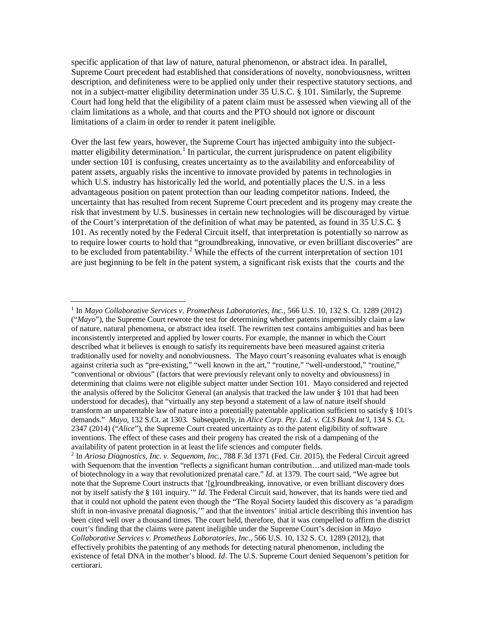specific application of that law of nature, natural phenomenon, or abstract idea. In parallel, Supreme Court precedent had established that considerations of novelty, nonobviousness, written description, and definiteness were to be applied only under their respective statutory sections, and not in a subject-matter eligibility determination under 35 U.S.C. § 101. Similarly, the Supreme Court had long held that the eligibility of a patent claim must be assessed when viewing all of the claim limitations as a whole, and that courts and the PTO should not ignore or discount limitations of a claim in order to render it patent ineligible.

Over the last few years, however, the Supreme Court has injected ambiguity into the subject-matter eligibility determination.<sup>[1](#page-5-0)</sup> In particular, the current jurisprudence on patent eligibility under section 101 is confusing, creates uncertainty as to the availability and enforceability of patent assets, arguably risks the incentive to innovate provided by patents in technologies in which U.S. industry has historically led the world, and potentially places the U.S. in a less advantageous position on patent protection than our leading competitor nations. Indeed, the uncertainty that has resulted from recent Supreme Court precedent and its progeny may create the risk that investment by U.S. businesses in certain new technologies will be discouraged by virtue of the Court's interpretation of the definition of what may be patented, as found in 35 U.S.C. § 101. As recently noted by the Federal Circuit itself, that interpretation is potentially so narrow as to require lower courts to hold that "groundbreaking, innovative, or even brilliant discoveries" are to be excluded from patentability.<sup>[2](#page-5-1)</sup> While the effects of the current interpretation of section 101 are just beginning to be felt in the patent system, a significant risk exists that the courts and the

 $\overline{\phantom{a}}$ 

<span id="page-5-0"></span><sup>1</sup> In *Mayo Collaborative Services v. Prometheus Laboratories, Inc.*, 566 U.S. 10, 132 S. Ct. 1289 (2012) ("*Mayo*"), the Supreme Court rewrote the test for determining whether patents impermissibly claim a law of nature, natural phenomena, or abstract idea itself. The rewritten test contains ambiguities and has been inconsistently interpreted and applied by lower courts. For example, the manner in which the Court described what it believes is enough to satisfy its requirements have been measured against criteria traditionally used for novelty and nonobviousness. The Mayo court's reasoning evaluates what is enough against criteria such as "pre-existing," "well known in the art," "routine," "well-understood," "routine," "conventional or obvious" (factors that were previously relevant only to novelty and obviousness) in determining that claims were not eligible subject matter under Section 101. Mayo considered and rejected the analysis offered by the Solicitor General (an analysis that tracked the law under § 101 that had been understood for decades), that "virtually any step beyond a statement of a law of nature itself should transform an unpatentable law of nature into a potentially patentable application sufficient to satisfy § 101's demands." *Mayo*, 132 S.Ct. at 1303. Subsequently, in *Alice Corp. Pty. Ltd. v. CLS Bank Int'l*, 134 S. Ct. 2347 (2014) ("*Alice*"), the Supreme Court created uncertainty as to the patent eligibility of software inventions. The effect of these cases and their progeny has created the risk of a dampening of the availability of patent protection in at least the life sciences and computer fields.

<span id="page-5-1"></span><sup>2</sup> In *Ariosa Diagnostics, Inc. v. Sequenom, Inc.*, 788 F.3d 1371 (Fed. Cir. 2015), the Federal Circuit agreed with Sequenom that the invention "reflects a significant human contribution...and utilized man-made tools of biotechnology in a way that revolutionized prenatal care." *Id*. at 1379. The court said, "We agree but note that the Supreme Court instructs that '[g]roundbreaking, innovative, or even brilliant discovery does not by itself satisfy the § 101 inquiry.'" *Id*. The Federal Circuit said, however, that its hands were tied and that it could not uphold the patent even though the "The Royal Society lauded this discovery as 'a paradigm shift in non-invasive prenatal diagnosis,'" and that the inventors' initial article describing this invention has been cited well over a thousand times. The court held, therefore, that it was compelled to affirm the district court's finding that the claims were patent ineligible under the Supreme Court's decision in *Mayo Collaborative Services v. Prometheus Laboratories, Inc.*, 566 U.S. 10, 132 S. Ct. 1289 (2012), that effectively prohibits the patenting of any methods for detecting natural phenomenon, including the existence of fetal DNA in the mother's blood. *Id*. The U.S. Supreme Court denied Sequenom's petition for certiorari.